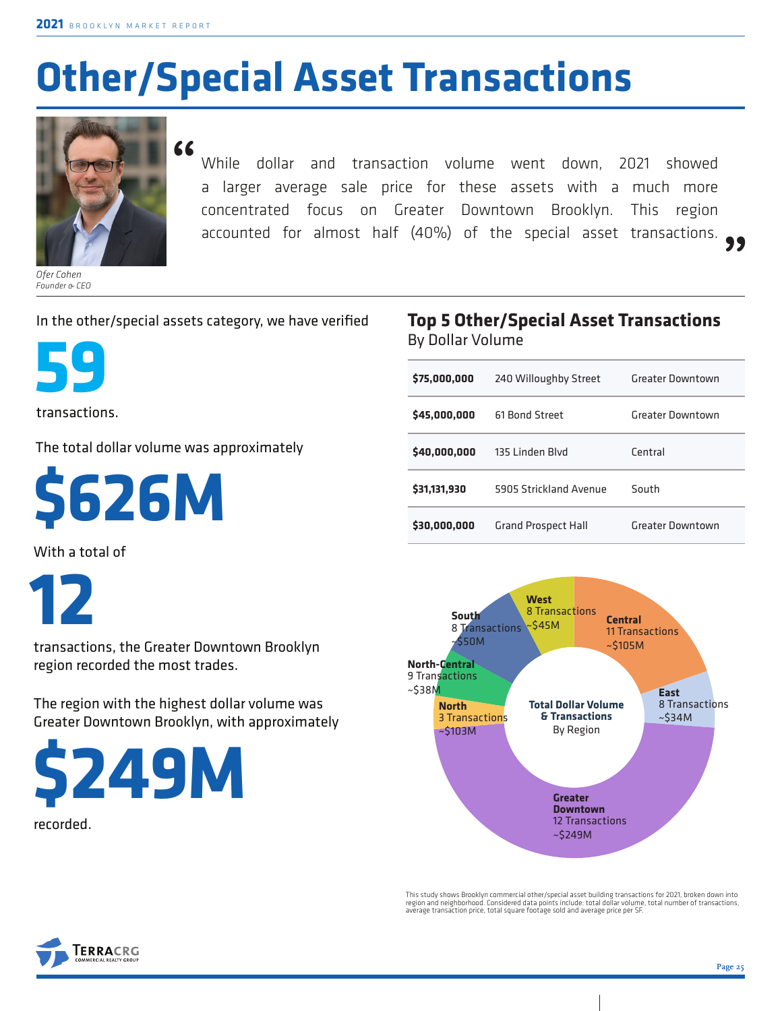## **Other/Special Asset Transactions**



*Ofer Cohen Founder & CEO* **"**

While dollar and transaction volume went down, 2021 showed a larger average sale price for these assets with a much more concentrated focus on Greater Downtown Brooklyn. This region accounted for almost half (40%) of the special asset transactions. **"**

## In the other/special assets category, we have verified



transactions.

The total dollar volume was approximately

**\$626M**

With a total of

**12** 

transactions, the Greater Downtown Brooklyn region recorded the most trades.

The region with the highest dollar volume was Greater Downtown Brooklyn, with approximately



recorded.

## **Top 5 Other/Special Asset Transactions**  By Dollar Volume

| \$75,000,000 | 240 Willoughby Street      | Greater Downtown |  |
|--------------|----------------------------|------------------|--|
| \$45,000,000 | 61 Bond Street             | Greater Downtown |  |
| \$40,000,000 | 135 Linden Blvd            | Central          |  |
| \$31,131,930 | 5905 Strickland Avenue     | South            |  |
| \$30,000,000 | <b>Grand Prospect Hall</b> | Greater Downtown |  |



This study shows Brooklyn commercial other/special asset building transactions for 2021, broken down into<br>region and neighborhood. Considered data points include: total dollar volume, total number of transactions,<br>average